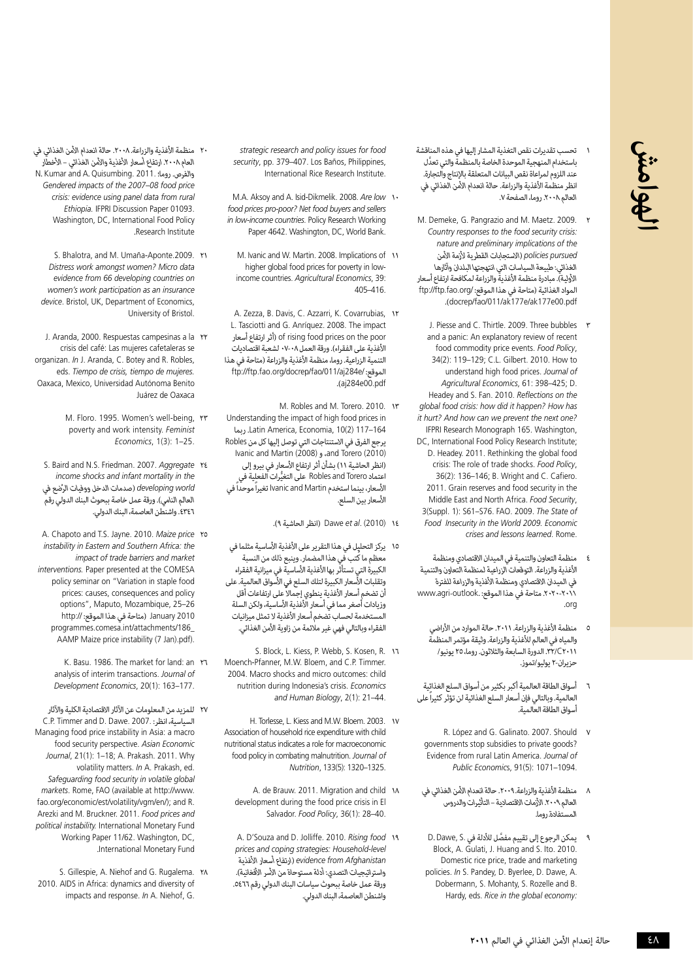

- 1 تحسب تقديرات نقص التغذية المشار إليها في هذه المناقشة َّ باستخدام المنهجية الموحدة الخاصة بالمنظمة والتي تعدل .<br>عند اللزوم لمراعاة نقص البيانات المتعلقة بالإنتاج والتجارة. انظر منظمة الأغذية والزراعة. حالة انعدام الأمن الغذائى فى العالم.2008 روما، الصفحة .7
- M. Demeke, G. Pangrazio and M. Maetz. 2009. Y Country responses to the food security crisis. *the of implications preliminary and nature pursued policies*( االستجابات القطرية ألزمة األمن الغذائي: طبيعة السياسات التي انتهجتها البلدان وآثارها الأولية). مبادرة منظمة الأغذية والزراعة لمكافحة ارتفاع أسعار المواد الغذائية (متاحة في هذا الموقع: /ftp://ftp.fao.org pdf00.e177ak/e177ak/011/fao/docrep).
- J. Piesse and C. Thirtle. 2009. Three bubbles  $\mathbf{r}$ and a panic: An explanatory review of recent food commodity price events. Food Policy, 34(2): 119-129; C.L. Gilbert. 2010. How to understand high food prices. Journal of Agricultural Economics, 61: 398-425; D. Headey and S. Fan. 2010. Reflections on the *dlobal food crisis: how did it happen? How has it hurt? And how can we prevent the next one?* IFPRI Research Monograph 165. Washington, DC, International Food Policy Research Institute: D. Headey. 2011. Rethinking the global food crisis: The role of trade shocks. Food Policy, 36(2): 136-146; B. Wright and C. Cafiero. 2011. Grain reserves and food security in the Middle East and North Africa. Food Security, 3(Suppl. 1): S61-S76. FAO. 2009. The State of Food Insecurity in the World 2009. Economic crises and lessons learned. Rome.
- منظمة التعاون والتنمية في الميدان الاقتصادي ومنظمة األغذية والزراعة. التوقعات الزراعية لمنظمة التعاون والتنمية في الميدان الاقتصادي ومنظمة الأغذية والزراعة للفترة .2020-2011 متاحة في هذا الموقع: .outlook-agri.www org.
	- 5 منظمة األغذية والزراعة. .2011 حالة الموارد من األراضي والمياه في العالم لألغذية والزراعة. وثيقة مؤتمر المنظمة 2011C.32/ الدورة السابعة والثالثون. روما، 25 يونيو/ حزيران-٢ يوليو/تموز.
- 6 أسواق الطاقة العالمية أكبر بكثير من أسواق السلع الغذائية العالمية. وبالتالي فإن أسعار السلع الغذائية لن تؤثر كثيراً على أسواق الطاقة العالمية.
- R. López and G. Galinato. 2007. Should v governments stop subsidies to private goods? **Evidence from rural Latin America. Journal of** Public Economics, 91(5): 1071-1094.
- ٨ منظمة الأغذية والزراعة. ٢٠٠٩. حالة انعدام الأمن الغذائي في العالم ٢٠٠٩. الأزمات الاقتصادية – التأثيرات والدروس المستفادة. روما.
- 9 َّ يمكن الرجوع إلى تقييم مفصل لألدلة في .S ,Dawe .<sup>D</sup> Block, A. Gulati, J. Huang and S. Ito, 2010. Domestic rice price, trade and marketing policies. In S. Pandey, D. Byerlee, D. Dawe, A. Dobermann, S. Mohanty, S. Rozelle and B. Hardy, eds. Rice in the global economy.
- strategic research and policy issues for food security, pp. 379-407. Los Baños, Philippines, International Rice Research Institute.
- M.A. Aksoy and A. Isid-Dikmelik. 2008. Are low \\ food prices pro-poor? Net food buyers and sellers in low-income countries. Policy Research Working Paper 4642. Washington, DC, World Bank.
	- M. Ivanic and W. Martin. 2008. Implications of 11 income countries. Agricultural Economics, 39: higher global food prices for poverty in low-405-416
- A. Zezza, B. Davis, C. Azzarri, K. Covarrubias, 1 L. Tasciotti and G. Anríquez. 2008. The impact poor the on prices food rising of( أثر ارتفاع أسعار الأغذية على الفقراء). ورقة العمل ٠٨-٧٠ لشعبة اقتصاديات التنمية الزراعية. روما، منظمة الأغذية والزراعة (متاحة في هذا الموقع: /ftp://ftp.fao.org/docrep/fao/011/aj284e pdf00.e284aj).
- M. Robles and M. Torero. 2010. IF Understanding the impact of high food prices in 164–117 (2)10 ,Economia ,America Latin. ربما يرجع الفرق في االستنتاجات التي توصل إليها كل من Robles (2010) and Torero، و (2008) Ivanic and Martin )انظر الحاشية 11( بشأن أثر ارتفاع األسعار في بيرو إلى اعتماد Torero and Robles ُّ على التغيرات الفعلية في األسعار، بينما استخدم Martin and Ivanic تغيراً موحداً في األسعار بين السلع.
	- 14 (2010) .*al et* Dawe( انظر الحاشية 9(.
- ١٥ يركز التحليل في هذا التقرير على الأغذية الأساسية مثلما في معظم ما كُتب في هذا المضمار. وينبع ذلك من النسبة الكبيرة التي تستأثر بها الأغذية الأساسية في ميزانية الفقراء وتقلبات الأّسعار الكبيرة لتلك السلع في الأسواق العالمية. على أن تضخم أسعار الأغذية ينطوي إجمالاً على ارتفاعات أقل وزيادات أصغر مما في أسعار الأُغذية الأساسية، ولكن السلة لمستخدمة لحساب تضخم أسعار الأغذية لا تمثل ميزانيات الفقراء وبالتالي فهي غير مالئمة من زاوية األمن الغذائي.
- 5. Block, L. Kiess, P. Webb, S. Kosen, R. 11 Moench-Pfanner, M.W. Bloem, and C.P. Timmer. 2004. Macro shocks and micro outcomes: child nutrition during Indonesia's crisis. Economics and Human Biology, 2(1): 21-44.
- H. Torlesse, L. Kiess and M.W. Bloem. 2003. vv Association of household rice expenditure with child nutritional status indicates a role for macroeconomic food policy in combating malnutrition. Journal of Nutrition, 133(5): 1320-1325
	- A. de Brauw. 2011. Migration and child  $\lambda$ development during the food price crisis in El Salvador. Food Policy, 36(1): 28-40
	- A. D'Souza and D. Jolliffe. 2010. Rising food 19 *level-Household :strategies coping and prices* evidence from Afghanistan (ارتفاع أسعار الأغذية<br>واستراتيجيات التصدى: أدلة مستوحاة من الأسر الأفغانية). .<br>ورقة عمل خاصة ببحوث سياسات البنك الدولي رقم ٥٤٦٦. واشنطن العاصمة، البنك الدولي.
- ٢٠ منظمة الأغذية والزراعة. ٢٠٠٨. حالة انعدام الأمن الغذائي في العام ٢٠٠٨. ارتفاع أسعار الأغذية والأمن الغذائي – الأخطار والفرص. روما؛ .N. Kumar and A. Quisumbing. 2011 Gendered impacts of the 2007-08 food price crisis: evidence using panel data from rural Ethiopia. **IFPRI** Discussion Paper 01093. Washington, DC, International Food Policv Research Institute
- 5. Bhalotra, and M. Umaña-Aponte.2009. rv Distress work amongst women? Micro data *on countries developing 66 from evidence insurance an as participation work s'women* device, Bristol, UK, Department of Economics. University of Bristol.
- J. Aranda, 2000. Respuestas campesinas a la r crisis del café: Las mujeres cafetaleras se organizan. *In* J. Aranda, C. Botey and R. Robles. eds. Tiempo de crisis, tiempo de mujeres. Oaxaca, Mexico, Universidad Autónoma Benito Juárez de Oaxaca
	- M. Floro. 1995. Women's well-being, YY poverty and work intensity. Feminist 25.–1 :(3)1 ,*Economics*
- S. Baird and N.S. Friedman. 2007. Aggregate YE *income shocks and infant mortality in the world developing* ( ُ صدمات الدخل ووفيات الرضع في العالم النامي). ورقة عمل خاصة ببحوث البنك الدولي رقم .4346 واشنطن العاصمة، البنك الدولي.
- A. Chapoto and T.S. Jayne. 2010. Maize price ro *instability in Eastern and Southern Africa: the impact of trade barriers and market interventions*. Paper presented at the COMESA policy seminar on "Variation in staple food prices: causes, consequences and policy options", Maputo, Mozambique, 25-26 2010 January( متاحة في هذا الموقع: ://http programmes.comesa.int/attachments/186 AAMP Maize price instability (7 Jan).pdf).
	- K. Basu. 1986. The market for land: an r analysis of interim transactions. Journal of Development Economics, 20(1): 163-177.
- 27 للمزيد من المعلومات عن اآلثار االقتصادية الكلية واآلثار السياسية، انظر: .2007. C.P. Timmer and D. Dawe. Managing food price instability in Asia: a macro food security perspective. Asian Economic Journal, 21(1): 1-18; A. Prakash. 2011. Why volatility matters. In A. Prakash, ed. Safeguarding food security in volatile global markets. Rome, FAO (available at http://www. fao.org/economic/est/volatility/vgm/en/); and R. Arezki and M. Bruckner. 2011. Food prices and political instability. International Monetary Fund Working Paper 11/62. Washington. DC. Fund Monetary International.
- S. Gillespie, A. Niehof and G. Rugalema. \* 2010. AIDS in Africa: dynamics and diversity of impacts and response. In A. Niehof, G.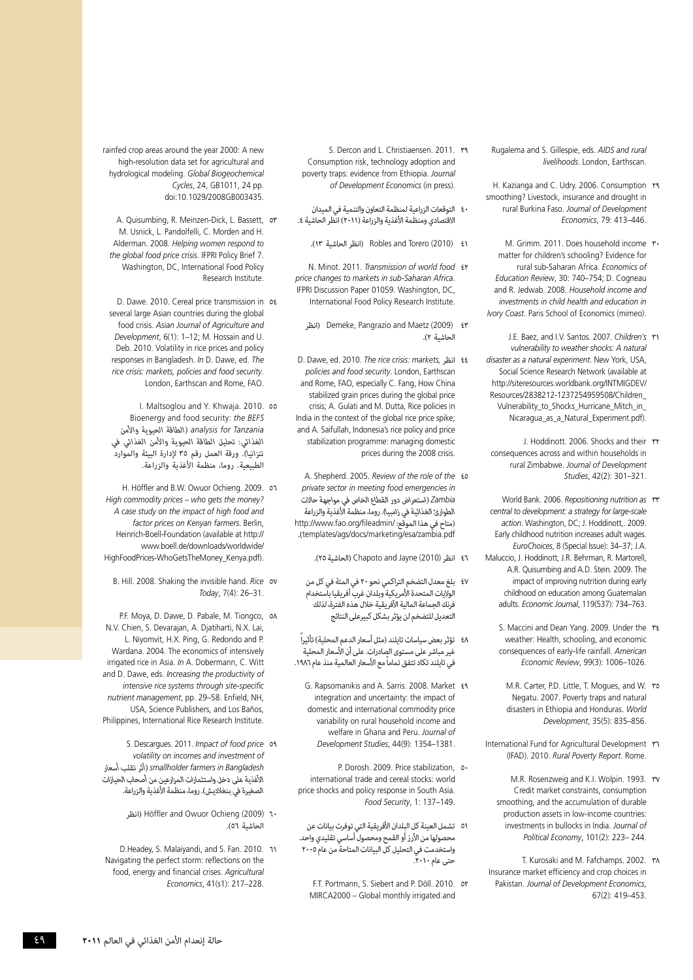Rugalema and S. Gillespie, eds. AIDS and rural livelihoods London Farthscan

- H. Kazianga and C. Udry. 2006. Consumption r smoothing? Livestock, insurance and drought in rural Burkina Faso. Journal of Development Economics, 79: 413-446.
- M. Grimm. 2011. Does household income  $\mathbf{r}$ . matter for children's schooling? Evidence for rural sub-Saharan-Africa. *Economics of* Education Review, 30: 740-754; D. Cogneau and R. Jedwab. 2008. Household income and *investments in child health and education in* Ivory Coast. Paris School of Economics (mimeo).
- J.E. Baez, and I.V. Santos. 2007. Children's **r** vulnerability to weather shocks: A natural disaster as a natural experiment. New York, USA, Social Science Research Network (available at http://siteresources.worldbank.org/INTMIGDEV/ Resources/2838212-1237254959508/Children Vulnerability\_to\_Shocks\_Hurricane\_Mitch\_in\_ Nicaragua\_as\_a\_Natural\_Experiment.pdf).
	- J. Hoddinott. 2006. Shocks and their ry consequences across and within households in rural Zimbabwe. Journal of Development Studies, 42(2): 301-321.
- World Bank. 2006. Repositioning nutrition as **rr** central to development: a strategy for large-scale action. Washington, DC; J. Hoddinott, . 2009. Early childhood nutrition increases adult wages. EuroChoices, 8 (Special Issue): 34–37; J.A. Maluccio, J. Hoddinott, J.R. Behrman, R. Martorell, A.R. Quisumbing and A.D. Stein, 2009. The impact of improving nutrition during early childhood on education among Guatemalan adults. Economic Journal, 119(537): 734-763.
	- S. Maccini and Dean Yang. 2009. Under the reweather: Health, schooling, and economic consequences of early-life rainfall. American Economic Review, 99(3): 1006-1026.
	- M.R. Carter, P.D. Little, T. Mogues, and W. ro Negatu, 2007. Poverty traps and natural disasters in Ethiopia and Honduras. World Development, 35(5): 835-856.
- International Fund for Agricultural Development ru (IFAD). 2010. Rural Poverty Report. Rome.
	- M.R. Rosenzweig and K.I. Wolpin. 1993. rv Credit market constraints, consumption smoothing, and the accumulation of durable production assets in low-income countries: investments in bullocks in India. Journal of 244. –223 :(2)101 ,*Economy Political*
- T. Kurosaki and M. Fafchamps. 2002. \r^ Insurance market efficiency and crop choices in Pakistan. Journal of Development Economics. 67(2): 419 - 453
- S. Dercon and L. Christiaensen. 2011. r Consumption risk, technology adoption and poverty traps: evidence from Ethiopia. Journal of Development Economics (in press).
- اع التوقعات الزراعية لمنظمة التعاون والتنمية في الميدان<br>الاقتصادي ومنظمة الأغذية والزراعة (٢٠١١) انظر الحاشية ٤.
	- 41 (2010) Torero and Robles( انظر الحاشية 13(.
- **N. Minot. 2011. Transmission of world food**  $\epsilon$ price changes to markets in sub-Saharan Africa. IFPRI Discussion Paper 01059. Washington, DC, International Food Policy Research Institute.
	- انظر) Demeke, Pangrazio and Maetz (2009)  $\epsilon$ ۳ الحاشية 2(.
- 4<sup>3</sup> انظر *D. Dawe, ed. 2010. The rice crisis: markets* policies and food security. London, Earthscan and Rome, FAO, especially C. Fang, How China stabilized grain prices during the global price crisis: A. Gulati and M. Dutta. Rice policies in India in the context of the global rice price spike; and A. Saifullah, Indonesia's rice policy and price stabilization programme: managing domestic prices during the 2008 crisis.
- A. Shepherd. 2005. Review of the role of the  $\epsilon$ o *in emergencies food meeting in sector private Zambia*( استعراض دور القطاع الخاص في مواجهة حاالت الطوارئ الغذائية في زامبيا). روما، منظمة الأغذية والزراعة http://www.fao.org/fileadmin/ متاح في هذا الموقع: .(templates/ags/docs/marketing/esa/zambia.pdf
	- 46 انظر (2010) Jayne and Chapoto( الحاشية 25(.
	- 47 بلغ معدل التضخم التراكمي نحو 20 في المئة في كل من الواليات المتحدة األمريكية وبلدان غرب أفريقيا باستخدام فرنك الجماعة المالية األفريقية خالل هذه الفترة، لذلك التعديل للتضخم لن يؤثر بشكل كبيرعلى النتائج
- ٤٨ تؤثر بعض سياسات تايلند (مثل أسعار الدعم المحلية) تأثيراً غير مباشر على مستوى الصادرات. على أن األسعار المحلية في تايلند تكاد تتفق تماماً مع الأسعار العالمية منذ عام ١٩٨٦.
	- G. Rapsomanikis and A. Sarris. 2008. Market  $\epsilon$ ۹ integration and uncertainty: the impact of domestic and international commodity price variability on rural household income and welfare in Ghana and Peru. Journal of Development Studies, 44(9): 1354-1381.
- P. Dorosh. 2009. Price stabilization, of international trade and cereal stocks: world price shocks and policy response in South Asia. Food Security, 1: 137-149.
- 51 تشمل العينة كل البلدان األفريقية التي توفرت بيانات عن محصولها من الأرز أو القمح ومحصول أساسي تقليدي واحد. واستخدمت في التحليل كل البيانات المتاحة من عام 2005 حتى عام ٢٠١٠.
	- FT Portmann S. Siebert and P. Döll 2010 or MIRCA2000 – Global monthly irrigated and

rainfed crop areas around the year 2000: A new high-resolution data set for agricultural and hydrological modeling. Global Biogeochemical Cycles, 24, GB 1011, 24 pp. doi:10.1029/2008GB003435.

- A. Quisumbing, R. Meinzen-Dick, L. Bassett, or M. Usnick, L. Pandolfelli, C. Morden and H. Alderman. 2008. Helping women respond to the global food price crisis. IFPRI Policy Brief 7. Washington, DC, International Food Policy Research Institute.
- D. Dawe 2010. Cereal price transmission in of several large Asian countries during the global food crisis. Asian Journal of Agriculture and Development, 6(1): 1-12; M. Hossain and U. Deb. 2010. Volatility in rice prices and policy responses in Bangladesh. In D. Dawe, ed. The rice crisis: markets, policies and food security. London, Earthscan and Rome, FAO.
- *BEFS the* :security food and Bioenergy <sup>55</sup> 2010. .Khwaja .Y and Maltsoglou .I *Tanzania for analysis*( الطاقة الحيوية واألمن الغذائي: تحليل الطاقة الحيوية واألمن الغذائي في تنزانيا). ورقة العمل رقم ٣٥ لإدارة البيئة والموارد الطبيعية. روما، منظمة األغذية والزراعة.
- H. Höffler and B.W. Owuor Ochieng. 2009. 0٦ *High commodity prices – who gets the money?* A case study on the impact of high food and factor prices on Kenyan farmers. Berlin, Heinrich-Boell-Foundation (available at http:// www.boell.de/downloads/worldwide/ HighFoodPrices-WhoGetsTheMoney Kenya.pdf).
	- B. Hill. 2008. Shaking the invisible hand. Rice ov Today, 7(4): 26-31.
- P.F. Moya, D. Dawe, D. Pabale, M. Tiongco, ox N.V. Chien, S. Devarajan, A. Djatiharti, N.X. Lai, L. Niyomvit, H.X. Ping, G. Redondo and P. Wardana, 2004. The economics of intensively irrigated rice in Asia. In A. Dobermann, C. Witt and D. Dawe, eds. *Increasing the productivity of* intensive rice systems through site-specific nutrient management, pp. 29-58. Enfield, NH. USA, Science Publishers, and Los Baños, Philippines, International Rice Research Institute.
- **S. Descargues. 2011. Impact of food price on** *of investment and incomes on volatility Bangladesh in farmers smallholder*( أثر تقلب أسعار األغذية على دخل واستثمارات المزارعين من أصحاب الحيازات الصغيرة في بنغلاديش). روما، منظمة الأغذية والزراعة.
	- 60 (2009) Ochieng Owuor and Höffler( انظر الحاشية 56(.
- 11 D.Headey, S. Malaiyandi, and S. Fan. 2010. Navigating the perfect storm: reflections on the food, energy and financial crises. Agricultural Economics, 41(s1): 217-228.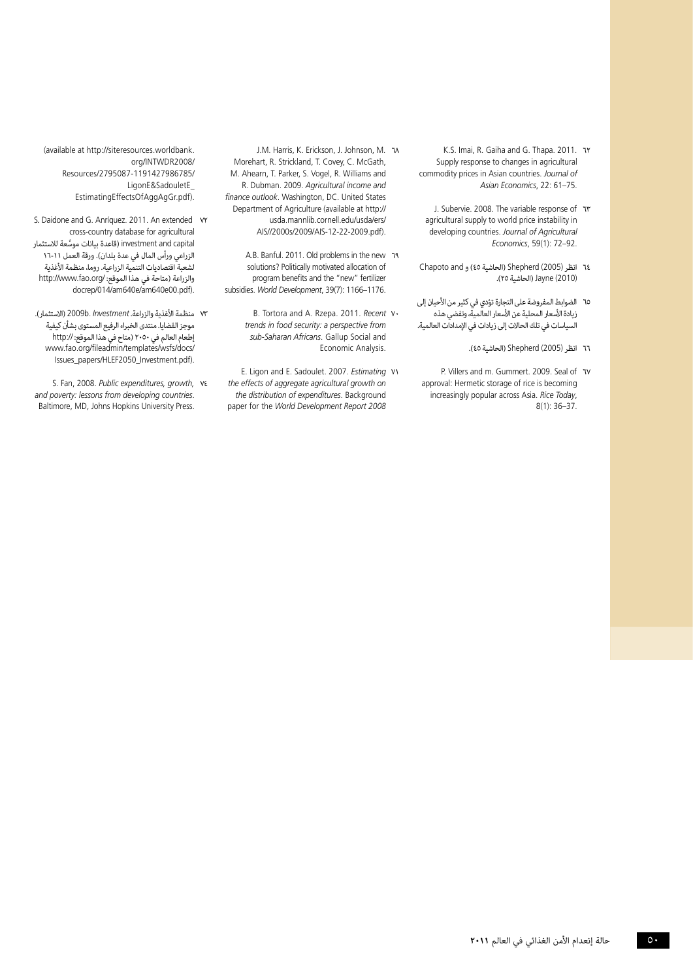- 6.5. Imai, R. Gaiha and G. Thapa. 2011. אד Supply response to changes in agricultural commodity prices in Asian countries. Journal of Asian Economics, 22: 61-75.
	- J. Subervie. 2008. The variable response of v agricultural supply to world price instability in developing countries. Journal of Agricultural Economics, 59(1): 72-92.
- 64 انظر (2005) Shepherd( الحاشية 45( و and Chapoto (2010) Jayne( الحاشية 25(.
- 65 الضوابط المفروضة على التجارة تؤدي في كثير من األحيان إلى زيادة الأسعار المحلية عن الأسعار العالمية، وتفضى هذه السياسات في تلك الحاالت إلى زيادات في اإلمدادات العالمية.
	- 66 انظر (2005) Shepherd( الحاشية 45(.
- P. Villers and m. Gummert. 2009. Seal of v approval: Hermetic storage of rice is becoming increasingly popular across Asia. Rice Today,  $8(1)$ : 36-37.
- J.M. Harris, K. Erickson, J. Johnson, M. J. Morehart, R. Strickland, T. Covey, C. McGath, M. Ahearn, T. Parker, S. Vogel, R. Williams and R. Dubman. 2009. Agricultural income and finance outlook. Washington, DC. United States Department of Agriculture (available at http:// usda.mannlib.cornell.edu/usda/ers/ AIS//2000s/2009/AIS-12-22-2009.pdf).
- 8. Banful. 2011. Old problems in the new 19 solutions? Politically motivated allocation of program benefits and the "new" fertilizer subsidies. World Development, 39(7): 1166-1176.
	- 8. Tortora and A. Rzepa. 2011. Recent v. *frends in food security: a perspective from* sub-Saharan Africans. Gallup Social and Economic Analysis.
- E. Ligon and E. Sadoulet. 2007. Estimating VV the effects of aggregate agricultural growth on the distribution of expenditures. Background paper for the World Development Report 2008

(available at http://siteresources.worldbank. org/INTWDR2008/ /2795087-1191427986785/Resources LigonE&SadouletE\_ EstimatingEffectsOfAggAgGr.pdf).

- 5. Daidone and G. Anríquez. 2011. An extended v cross-country database for agricultural investment and capital (قاعدة بيانات موسَّعة للاستثمار الزراعي ورأس المال في عدة بلدان). ورقة العمل ١١-١٦ لشعبة اقتصاديات التنمية الزراعية. روما، منظمة الأغذية والزراعة (متاحة في هذا الموقع: /http://www.fao.org docrep/014/am640e/am640e00.pdf).
- 73 منظمة األغذية والزراعة. *Investment* .b2009( االستثمار(. موجز القضايا. منتدى الخبراء الرفيع المستوى بشأن كيفية ....<br>إطعام العالم في ٢٠٥٠ (متاح في هذا الموقع: //.http www.fao.org/fileadmin/templates/wsfs/docs/ lssues\_papers/HLEF2050\_Investment.pdf).
- 5. Fan, 2008. Public expenditures, growth, ve and poverty: lessons from developing countries. Baltimore, MD, Johns Hopkins University Press.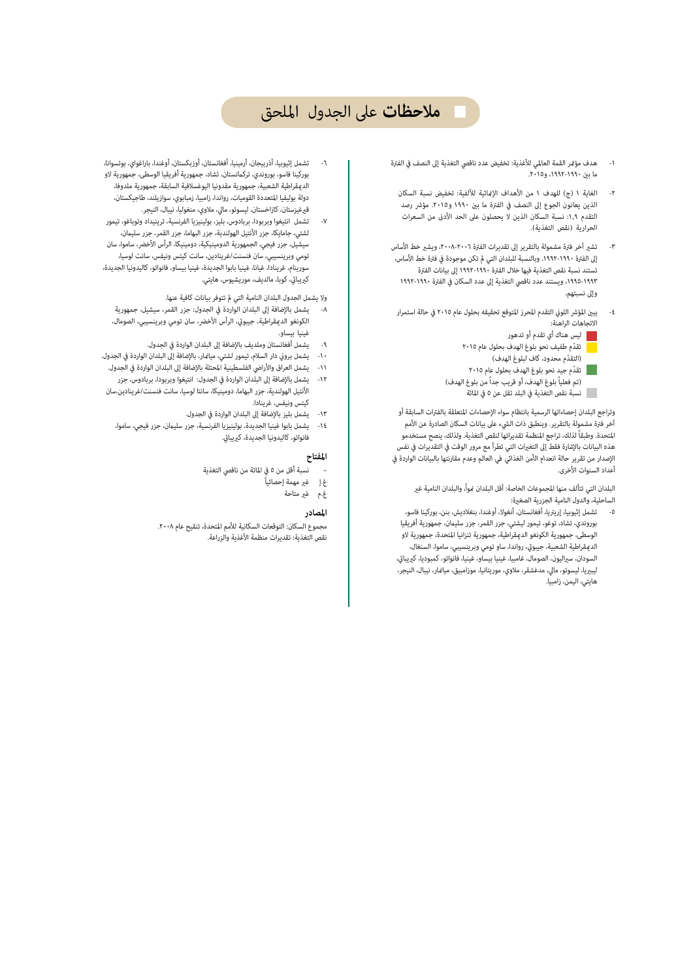## **ملاحظات** على الجدول الملحق

- -١ هدف مؤر القمة العالمي للأغذية: تخفيض عدد ناقصي التغذية إلى النصف في الفترة ما ب ،١٩٩٢-١٩٩٠ و.٢٠١٥
	- -٢ الغاية ١ (ج) للهدف ١ من الأهداف الإائية للألفية: تخفيض نسبة السكان الذين يعانون الجوع إلى النصف في الفترة ما بين ١٩٩٠ و٢٠١٥. مؤشر رصد التقدم ١,٩: نسبة السكان الذين لا يحصلون على الحد الأدنى من السعرات الحرارية (نقص التغذية).
- ٣- تشير آخر فترة مشمولة بالتقرير إلى تقديرات الفترة ٢٠٠٨-٢٠٠١، ويشير خط الأساس إلى الفترة ١٩٩٠-١٩٩٢. وبالنسبة للبلدان التي لم تكن موجودة في فترة خط الأساس، تستند نسبة نقص التغذية فيها خلال الفترة ١٩٩٢-١٩٩٠ إلى بيانات الفترة ،١٩٩٥-١٩٩٣ ويستند عدد ناقصي التغذية إلى عدد السكان في الفترة ١٩٩٢-١٩٩٠ وإلى نسبتهم.
- ٤- يبين المؤشر اللوني التقدم المحرز المتوقع تحقيقه بحلول عام ٢٠١٥ في حالة استمرار الاتجاهات الراهنة:
	- ليس هناك أي تقدم أو تدهور
	- ّ تقدم طفيف نحو بلوغ الهدف بحلول عام ٢٠١٥
		- ّ (التقدم محدود، كاف لبلوغ الهدف)
	- ّ تقدم جيد نحو بلوغ الهدف بحلول عام ٢٠١٥ (تم فعلياً بلوغ الهدف، أو قريب جداً من بلوغ الهدف) نسبة نقص التغذية في البلد تقل عن ٥ في المائة

وتراجع البلدان إحصاءاتها الرسمية بانتظام سواء الإحصاءات المتعلقة بالفترات السابقة أو آخر فترة مشمولة بالتقرير. وينطبق ذات الشيء على بيانات السكان الصادرة عن الأمم المتحدة. وطبقاً لذلك، تراجع المنظمة تقديراتها لنقص التغذية. ولذلك، ينصح مستخدمو هذه البيانات بالإشارة فقط إلى التغيرات التي تطرأ مع مرور الوقت في التقديرات في نفس الإصدار من تقرير *حالة انعدام الأمن الغذائي في العالم* وعدم مقارنتها بالبيانات الواردة في أعداد السنوات الأخرى.

البلدان التي تتألف منها المجموعات الخاصة: أقل البلدان غواً، والبلدان النامية غير الساحلية، والدول النامية الجزرية الصغيرة:

-٥ تشمل إثيوبيا، إريتريا، أفغانستان، أنغولا، أوغندا، بنغلاديش، بنن، بوركينا فاسو، بوروندي، تشاد، توغو، تيمور ليشتي، جزر القمر، جزر سليمان، جمهورية أفريقيا الوسطى، جمهورية الكونغو الدعقراطية، جمهورية تنزانيا المتحدة، جمهورية لاو الديمقراطية الشعبية، جيبوتي، رواندا، ساو تومي وبرينسيبي، ساموا، السنغال، السودان، سيراليون، الصومال، غامبيا، غينيا بيساو، غينيا، فانواتو، كمبوديا، كيريباق، ليبيريا، ليسوتو، مالي، مدغشقر، ملاوي، موريتانيا، موزامبيق، ميانمار، نيبال، النيجر، هايتي، اليمن، زامبيا.

- -٦ تشمل إثيوبيا، أذربيجان، أرمينيا، أفغانستان، أوزبكستان، أوغندا، باراغواي، بوتسوانا، بوركينا فاسو، بوروندي، تركمانستان، تشاد، جمهورية أفريقيا الوسطى، جمهورية لاو الدعقراطية الشعبية، جمهورية مقدونيا اليوغسلافية السابقة، جمهورية ملدوفا، دولة بوليفيا المتعددة القوميات، رواندا، زامبيا، زمبابوي، سوازيلند، طاجيكستان، قيرغيزستان، كازاخستان، ليسوتو، مالي، ملاوي، منغوليا، نيبال، النيجر.
- -٧ تشمل انتيغوا وبربودا، بربادوس، بليز، بولينيزيا الفرنسية، ترينيداد وتوباغو، تيمور لشتي، جامايكا، جزر الأنتيل الهولندية، جزر البهاما، جزر القمر، جزر سليمان، سيشيل، جزر فيجي، الجمهورية الدومينيكية، دومينيكا، الرأس الأخضر، ساموا، سان تومي وبرينسيبي، سان فنسنت/غرينادين، سانت كيتس ونيفس، سانت لوسيا، سورينام، غرينادا، غيانا، غينيا بابوا الجديدة، غينيا بيساو، فانواتو، كاليدونيا الجديدة، كيريباق، كوبا، مالديف، موريشيوس، هايتي.

ولا يشمل الجدول البلدان النامية التي لم تتوفر بيانات كافية عنها.

- -٨ يشمل بالإضافة إلى البلدان الواردة في الجدول: جزر القمر، سيشيل، جمهورية الكونغو الديمقراطية، جيبوتي، الرأس الأخضر، سان تومي وبرينسيبي، الصومال، غينيا بيساو.
	- -٩ يشمل أفغانستان وملديف بالإضافة إلى البلدان الواردة في الجدول.
- -١٠ يشمل بروÀ دار السلام، تيمور لشتي، مياار، بالإضافة إلى البلدان الواردة في الجدول.
- -١١ يشمل العراق والأراضي الفلسطينية المحتلة بالإضافة إلى البلدان الواردة في الجدول.
- -١٢ يشمل بالإضافة إلى البلدان الواردة في الجدول: انتيغوا وبربودا، بربادوس، جزر الأنتيل الهولندية، جزر البهاما، دومينيكا، سانتا لوسيا، سانت فنسنت/غرينادين،سان كيتس ونيفس، غرينادا.
	- -١٣ يشمل بليز بالإضافة إلى البلدان الواردة في الجدول.
	- ١٤- يشمل بابوا غينيا الجديدة، بولينيزيا الفرنسية، جزر سليمان، جزر فيجي، ساموا، .<br>فانواتو، كاليدونيا الجديدة، كيريباق.

## **المفتاح**

- نسبة أقل من ٥ في المائة من ناقصي التغذية
	- غ.إ غير مهمة إحصائياً
		- غ.م غير متاحة ً

**المصادر**<br>مجموع السكان: التوقعات السكانية للأمم المتحدة، تنقيح عام ٢٠٠٨. نقص التغذية: تقديرات منظمة الأغذية والزراعة.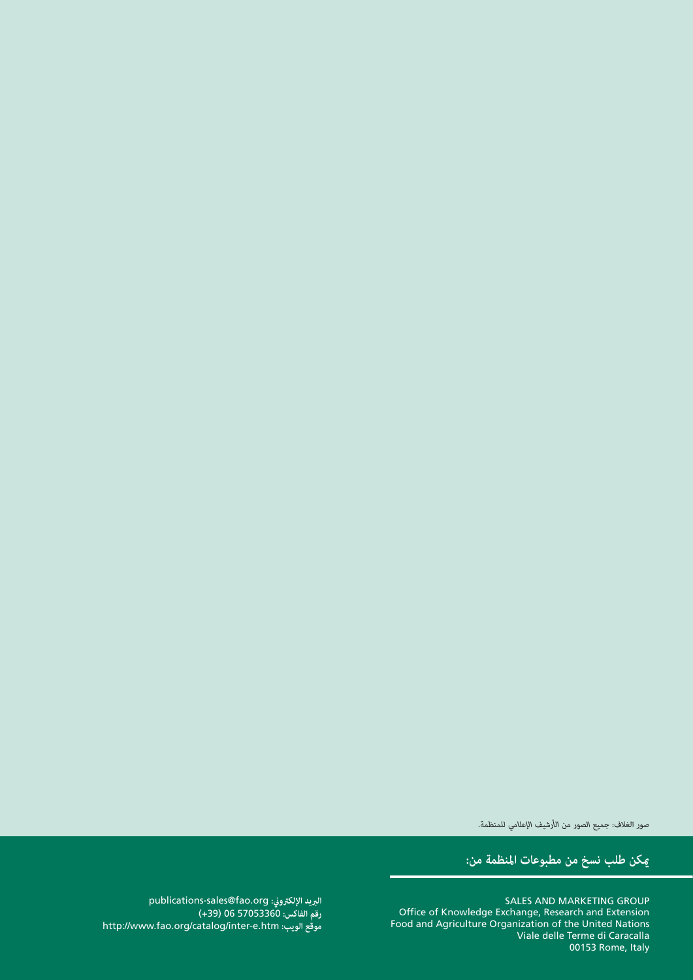صور الغلاف: *جميع الصور من الأرشيف الإعلامي للمنظمة.* صور الغلاف: *جميع الصور من الأرشيف الإعلامي للمنظمة.*

**كن طلب نسخ من مطبوعات المنظمة من: كن طلب نسخ من مطبوعات المنظمة من:**

GROUP SALES AND MARKETING GROUP Extending and Research and Research and Research and Research and  $\mathbb R$ **Nations United Team** Food and Agriculture Organization of the Unite **Caracalla di Viale delle Terme di**  $\sim$  00153 Ro Office of Knowledge Exchange, Research and Extension Food and Agriculture Organization of the United Nations Viale delle Terme di Caracalla 00153 Rome, Italy

**البري**: publications-sales@fao.org **رقم الفاكس:** 57053360 06 (+39) **موقع الويب:** htm.e-inter/catalog/org.fao.www://http البريد الإلكتروني: publications-sales@fao.org **رقم الفاكس:** 57053360 06 (+39) موقع الويب: http://www.fao.org/catalog/inter-e.htm